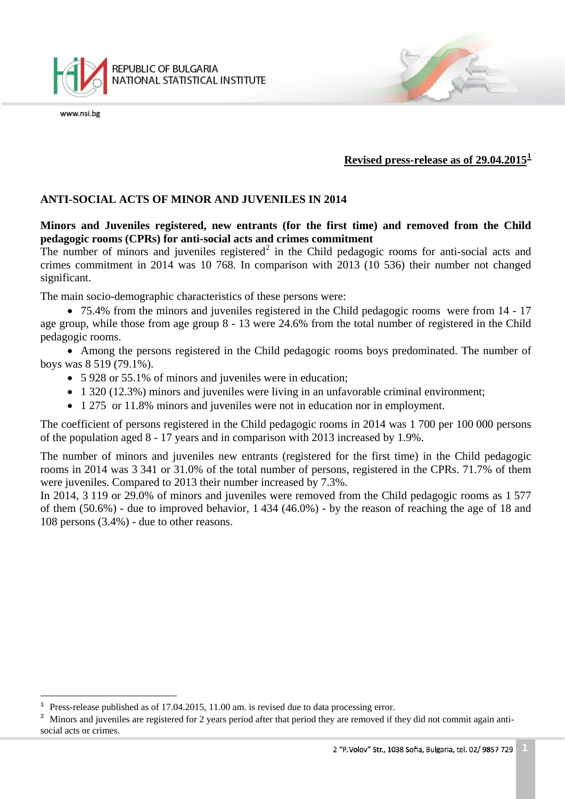

**Revised press-release as of 29.04.2015[1](#page-0-0)**

## **ANTI-SOCIAL ACTS OF MINOR AND JUVENILES IN 2014**

**Minors and Juveniles registered, new entrants (for the first time) and removed from the Child pedagogic rooms (CPRs) for anti-social acts and crimes commitment**

The number of minors and juveniles registered<sup>[2](#page-0-1)</sup> in the Child pedagogic rooms for anti-social acts and crimes commitment in 2014 was 10 768. In comparison with 2013 (10 536) their number not changed significant.

The main socio-demographic characteristics of these persons were:

• 75.4% from the minors and juveniles registered in the Child pedagogic rooms were from 14 - 17 age group, while those from age group 8 - 13 were 24.6% from the total number of registered in the Child pedagogic rooms.

• Among the persons registered in the Child pedagogic rooms boys predominated. The number of boys was 8 519 (79.1%).

- 5 928 or 55.1% of minors and juveniles were in education;
- 1 320 (12.3%) minors and juveniles were living in an unfavorable criminal environment;
- 1 275 or 11.8% minors and juveniles were not in education nor in employment.

The coefficient of persons registered in the Child pedagogic rooms in 2014 was 1 700 per 100 000 persons of the population aged 8 - 17 years and in comparison with 2013 increased by 1.9%.

The number of minors and juveniles new entrants (registered for the first time) in the Child pedagogic rooms in 2014 was 3 341 or 31.0% of the total number of persons, registered in the CPRs. 71.7% of them were juveniles. Compared to 2013 their number increased by 7.3%.

In 2014, 3 119 or 29.0% of minors and juveniles were removed from the Child pedagogic rooms as 1 577 of them (50.6%) - due to improved behavior, 1 434 (46.0%) - by the reason of reaching the age of 18 and 108 persons (3.4%) - due to other reasons.

ī <sup>1</sup> Press-release published as of 17.04.2015, 11.00 am. is revised due to data processing error.

<span id="page-0-1"></span><span id="page-0-0"></span><sup>&</sup>lt;sup>2</sup> Minors and juveniles are registered for 2 years period after that period they are removed if they did not commit again antisocial acts or crimes.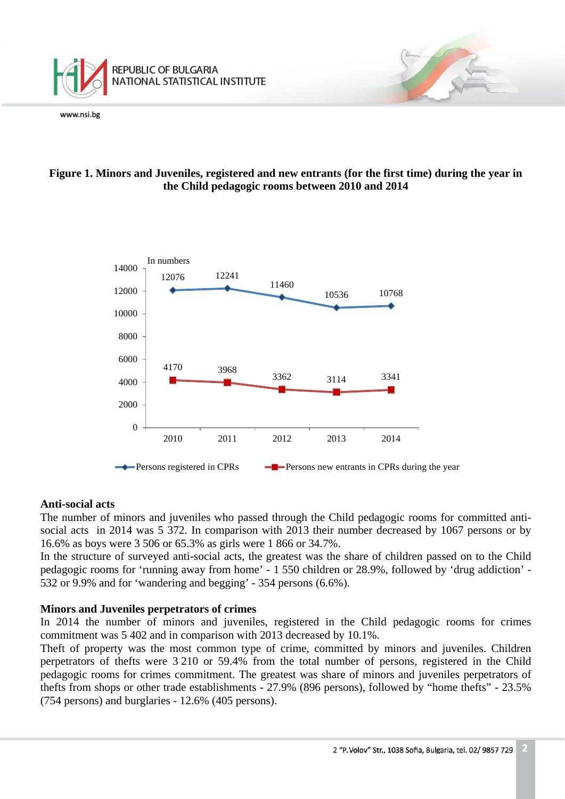

# **Figure 1. Minors and Juveniles, registered and new entrants (for the first time) during the year in the Child pedagogic rooms between 2010 and 2014**



## **Anti-social acts**

The number of minors and juveniles who passed through the Child pedagogic rooms for committed antisocial acts in 2014 was 5 372. In comparison with 2013 their number decreased by 1067 persons or by 16.6% as boys were 3 506 or 65.3% as girls were 1 866 or 34.7%.

In the structure of surveyed anti-social acts, the greatest was the share of children passed on to the Child pedagogic rooms for 'running away from home' - 1 550 children or 28.9%, followed by 'drug addiction' - 532 or 9.9% and for 'wandering and begging' - 354 persons (6.6%).

## **Minors and Juveniles perpetrators of crimes**

In 2014 the number of minors and juveniles, registered in the Child pedagogic rooms for crimes commitment was 5 402 and in comparison with 2013 decreased by 10.1%.

Theft of property was the most common type of crime, committed by minors and juveniles. Children perpetrators of thefts were 3 210 or 59.4% from the total number of persons, registered in the Child pedagogic rooms for crimes commitment. The greatest was share of minors and juveniles perpetrators of thefts from shops or other trade establishments - 27.9% (896 persons), followed by "home thefts" - 23.5% (754 persons) and burglaries - 12.6% (405 persons).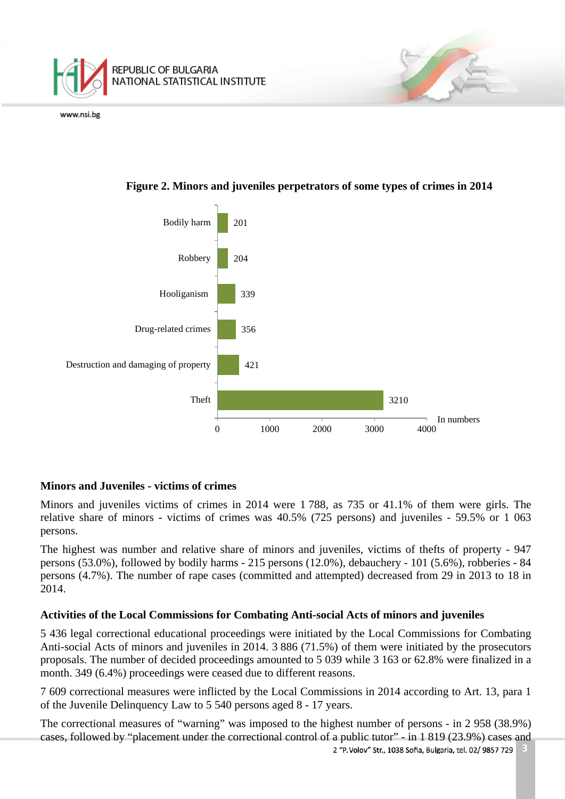



# **Figure 2. Minors and juveniles perpetrators of some types of crimes in 2014**

## **Minors and Juveniles - victims of crimes**

Minors and juveniles victims of crimes in 2014 were 1 788, as 735 or 41.1% of them were girls. The relative share of minors - victims of crimes was 40.5% (725 persons) and juveniles - 59.5% or 1 063 persons.

The highest was number and relative share of minors and juveniles, victims of thefts of property - 947 persons (53.0%), followed by bodily harms - 215 persons (12.0%), debauchery - 101 (5.6%), robberies - 84 persons (4.7%). The number of rape cases (committed and attempted) decreased from 29 in 2013 to 18 in 2014.

## **Activities of the Local Commissions for Combating Anti-social Acts of minors and juveniles**

5 436 legal correctional educational proceedings were initiated by the Local Commissions for Combating Anti-social Acts of minors and juveniles in 2014. 3 886 (71.5%) of them were initiated by the prosecutors proposals. The number of decided proceedings amounted to 5 039 while 3 163 or 62.8% were finalized in a month. 349 (6.4%) proceedings were ceased due to different reasons.

7 609 correctional measures were inflicted by the Local Commissions in 2014 according to Art. 13, para 1 of the Juvenile Delinquency Law to 5 540 persons aged 8 - 17 years.

The correctional measures of "warning" was imposed to the highest number of persons - in 2 958 (38.9%) cases, followed by "placement under the correctional control of a public tutor" - in 1 819 (23.9%) cases and**3** 2 "P. Volov" Str., 1038 Sofia, Bulgaria, tel. 02/ 9857 729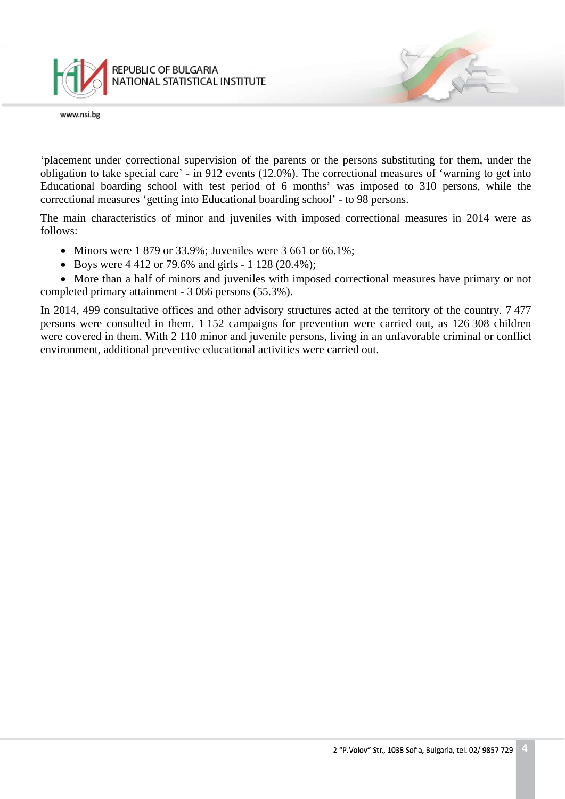

'placement under correctional supervision of the parents or the persons substituting for them, under the obligation to take special care' - in 912 events (12.0%). The correctional measures of 'warning to get into Educational boarding school with test period of 6 months' was imposed to 310 persons, while the correctional measures 'getting into Educational boarding school' - to 98 persons.

The main characteristics of minor and juveniles with imposed correctional measures in 2014 were as follows:

- Minors were  $1879$  or  $33.9\%$ ; Juveniles were  $3661$  or  $66.1\%$ ;
- Boys were 4 412 or 79.6% and girls 1 128 (20.4%);

• More than a half of minors and juveniles with imposed correctional measures have primary or not completed primary attainment - 3 066 persons (55.3%).

In 2014, 499 consultative offices and other advisory structures acted at the territory of the country. 7 477 persons were consulted in them. 1 152 campaigns for prevention were carried out, as 126 308 children were covered in them. With 2 110 minor and juvenile persons, living in an unfavorable criminal or conflict environment, additional preventive educational activities were carried out.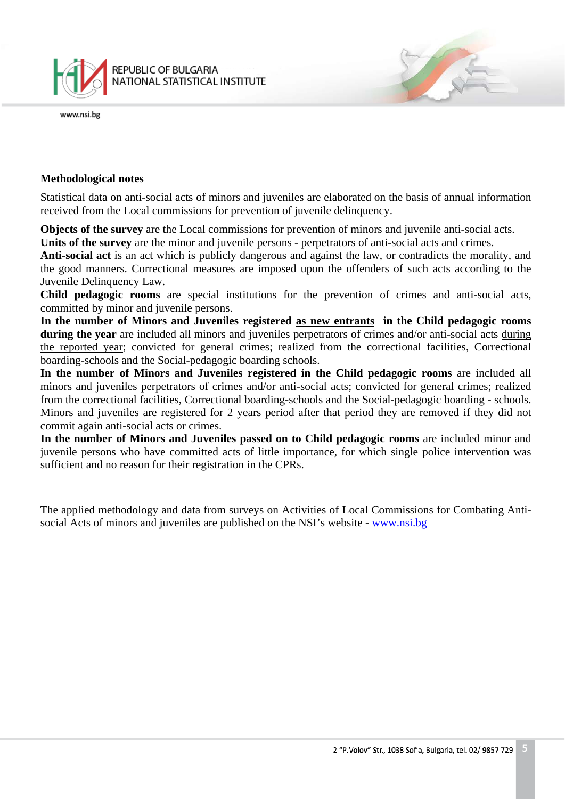

## **Methodological notes**

Statistical data on anti-social acts of minors and juveniles are elaborated on the basis of annual information received from the Local commissions for prevention of juvenile delinquency.

**Objects of the survey** are the Local commissions for prevention of minors and juvenile anti-social acts.

**Units of the survey** are the minor and juvenile persons - perpetrators of anti-social acts and crimes.

**Anti-social act** is an act which is publicly dangerous and against the law, or contradicts the morality, and the good manners. Correctional measures are imposed upon the offenders of such acts according to the Juvenile Delinquency Law.

**Child pedagogic rooms** are special institutions for the prevention of crimes and anti-social acts, committed by minor and juvenile persons.

**In the number of Minors and Juveniles registered as new entrants in the Child pedagogic rooms during the year** are included all minors and juveniles perpetrators of crimes and/or anti-social acts during the reported year; convicted for general crimes; realized from the correctional facilities, Correctional boarding-schools and the Social-pedagogic boarding schools.

**In the number of Minors and Juveniles registered in the Child pedagogic rooms** are included all minors and juveniles perpetrators of crimes and/or anti-social acts; convicted for general crimes; realized from the correctional facilities, Correctional boarding-schools and the Social-pedagogic boarding - schools. Minors and juveniles are registered for 2 years period after that period they are removed if they did not commit again anti-social acts or crimes.

**In the number of Minors and Juveniles passed on to Child pedagogic rooms** are included minor and juvenile persons who have committed acts of little importance, for which single police intervention was sufficient and no reason for their registration in the CPRs.

The applied methodology and data from surveys on Activities of Local Commissions for Combating Antisocial Acts of minors and juveniles are published on the NSI's website - [www.nsi.bg](http://www.nsi.bg/)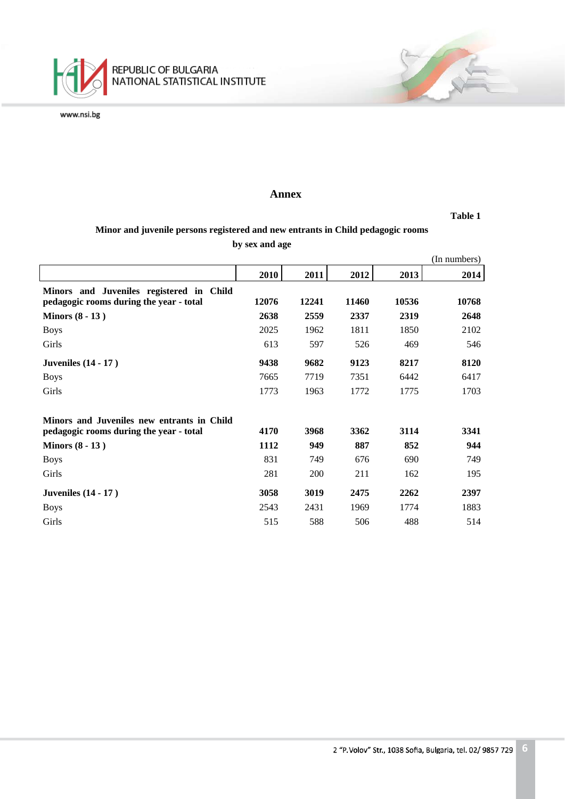

#### **Annex**

**Table 1**

## **Minor and juvenile persons registered and new entrants in Child pedagogic rooms by sex and age**

|                                                                                     |       |       |       |       | (In numbers) |
|-------------------------------------------------------------------------------------|-------|-------|-------|-------|--------------|
|                                                                                     | 2010  | 2011  | 2012  | 2013  | 2014         |
| Minors and Juveniles registered in Child<br>pedagogic rooms during the year - total | 12076 | 12241 | 11460 | 10536 | 10768        |
| Minors $(8 - 13)$                                                                   | 2638  | 2559  | 2337  | 2319  | 2648         |
| <b>Boys</b>                                                                         | 2025  | 1962  | 1811  | 1850  | 2102         |
| Girls                                                                               | 613   | 597   | 526   | 469   | 546          |
| Juveniles $(14 - 17)$                                                               | 9438  | 9682  | 9123  | 8217  | 8120         |
| <b>Boys</b>                                                                         | 7665  | 7719  | 7351  | 6442  | 6417         |
| Girls                                                                               | 1773  | 1963  | 1772  | 1775  | 1703         |
| Minors and Juveniles new entrants in Child                                          |       |       |       |       |              |
| pedagogic rooms during the year - total                                             | 4170  | 3968  | 3362  | 3114  | 3341         |
| Minors $(8 - 13)$                                                                   | 1112  | 949   | 887   | 852   | 944          |
| <b>Boys</b>                                                                         | 831   | 749   | 676   | 690   | 749          |
| Girls                                                                               | 281   | 200   | 211   | 162   | 195          |
| Juveniles $(14 - 17)$                                                               | 3058  | 3019  | 2475  | 2262  | 2397         |
| <b>Boys</b>                                                                         | 2543  | 2431  | 1969  | 1774  | 1883         |
| Girls                                                                               | 515   | 588   | 506   | 488   | 514          |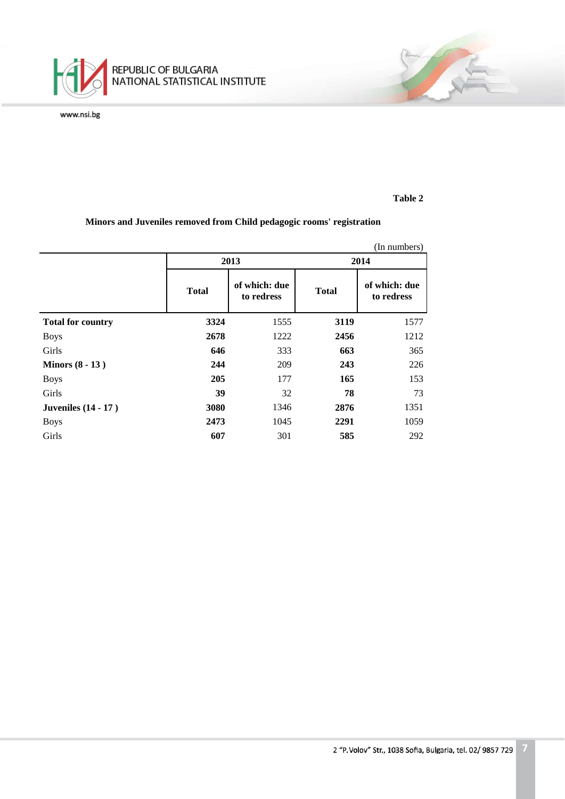

#### **Table 2**

### **Minors and Juveniles removed from Child pedagogic rooms' registration**

|                            |              |                             |              | (In numbers)                |  |  |
|----------------------------|--------------|-----------------------------|--------------|-----------------------------|--|--|
|                            |              | 2013                        | 2014         |                             |  |  |
|                            | <b>Total</b> | of which: due<br>to redress | <b>Total</b> | of which: due<br>to redress |  |  |
| <b>Total for country</b>   | 3324         | 1555                        | 3119         | 1577                        |  |  |
| <b>Boys</b>                | 2678         | 1222                        | 2456         | 1212                        |  |  |
| Girls                      | 646          | 333                         | 663          | 365                         |  |  |
| Minors $(8 - 13)$          | 244          | 209                         | 243          | 226                         |  |  |
| <b>Boys</b>                | 205          | 177                         | 165          | 153                         |  |  |
| Girls                      | 39           | 32                          | 78           | 73                          |  |  |
| <b>Juveniles</b> (14 - 17) | 3080         | 1346                        | 2876         | 1351                        |  |  |
| <b>Boys</b>                | 2473         | 1045                        | 2291         | 1059                        |  |  |
| Girls                      | 607          | 301                         | 585          | 292                         |  |  |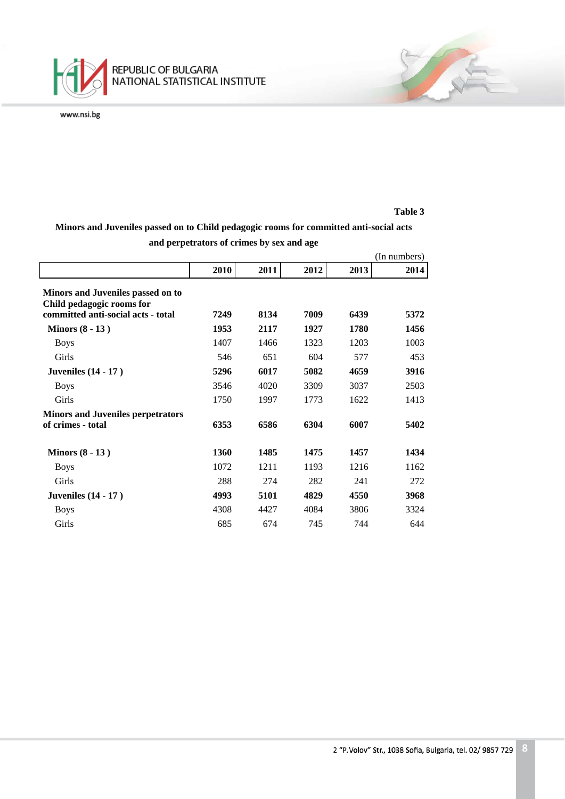

#### **Table 3**

**Minors and Juveniles passed on to Child pedagogic rooms for committed anti-social acts** 

|                                                                |      |      |      |      | (In numbers) |
|----------------------------------------------------------------|------|------|------|------|--------------|
|                                                                | 2010 | 2011 | 2012 | 2013 | 2014         |
| Minors and Juveniles passed on to<br>Child pedagogic rooms for |      |      |      |      |              |
| committed anti-social acts - total                             | 7249 | 8134 | 7009 | 6439 | 5372         |
| Minors $(8 - 13)$                                              | 1953 | 2117 | 1927 | 1780 | 1456         |
| <b>Boys</b>                                                    | 1407 | 1466 | 1323 | 1203 | 1003         |
| Girls                                                          | 546  | 651  | 604  | 577  | 453          |
| <b>Juveniles</b> (14 - 17)                                     | 5296 | 6017 | 5082 | 4659 | 3916         |
| <b>Boys</b>                                                    | 3546 | 4020 | 3309 | 3037 | 2503         |
| Girls                                                          | 1750 | 1997 | 1773 | 1622 | 1413         |
| <b>Minors and Juveniles perpetrators</b>                       |      |      |      |      |              |
| of crimes - total                                              | 6353 | 6586 | 6304 | 6007 | 5402         |
| Minors $(8 - 13)$                                              | 1360 | 1485 | 1475 | 1457 | 1434         |
| <b>Boys</b>                                                    | 1072 | 1211 | 1193 | 1216 | 1162         |
| Girls                                                          | 288  | 274  | 282  | 241  | 272          |
| <b>Juveniles</b> (14 - 17)                                     | 4993 | 5101 | 4829 | 4550 | 3968         |
| <b>Boys</b>                                                    | 4308 | 4427 | 4084 | 3806 | 3324         |
| Girls                                                          | 685  | 674  | 745  | 744  | 644          |

**and perpetrators of crimes by sex and age**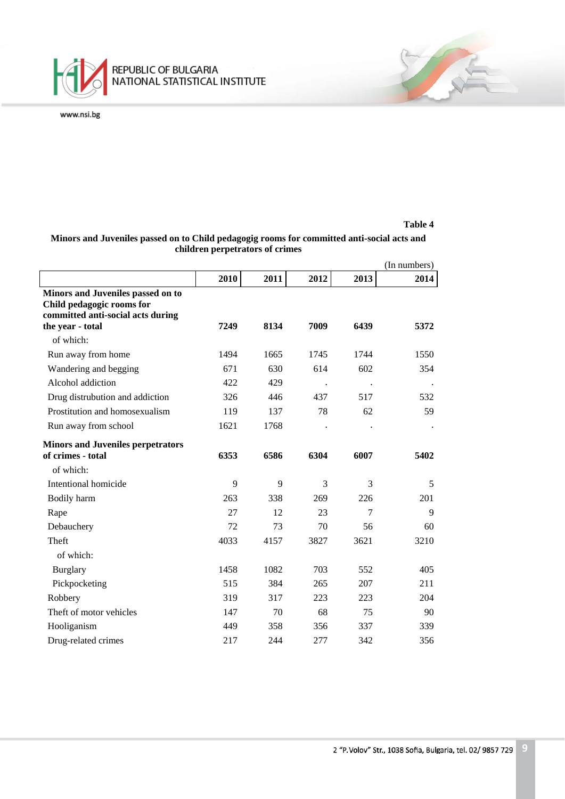

|                                                                                                     |      |      |      |      | (In numbers) |
|-----------------------------------------------------------------------------------------------------|------|------|------|------|--------------|
|                                                                                                     | 2010 | 2011 | 2012 | 2013 | 2014         |
| Minors and Juveniles passed on to<br>Child pedagogic rooms for<br>committed anti-social acts during |      |      |      |      |              |
| the year - total                                                                                    | 7249 | 8134 | 7009 | 6439 | 5372         |
| of which:                                                                                           |      |      |      |      |              |
| Run away from home                                                                                  | 1494 | 1665 | 1745 | 1744 | 1550         |
| Wandering and begging                                                                               | 671  | 630  | 614  | 602  | 354          |
| Alcohol addiction                                                                                   | 422  | 429  |      |      |              |
| Drug distrubution and addiction                                                                     | 326  | 446  | 437  | 517  | 532          |
| Prostitution and homosexualism                                                                      | 119  | 137  | 78   | 62   | 59           |
| Run away from school                                                                                | 1621 | 1768 |      |      |              |
| <b>Minors and Juveniles perpetrators</b>                                                            |      |      |      |      |              |
| of crimes - total                                                                                   | 6353 | 6586 | 6304 | 6007 | 5402         |
| of which:                                                                                           |      |      |      |      |              |
| Intentional homicide                                                                                | 9    | 9    | 3    | 3    | 5            |
| Bodily harm                                                                                         | 263  | 338  | 269  | 226  | 201          |
| Rape                                                                                                | 27   | 12   | 23   | 7    | 9            |
| Debauchery                                                                                          | 72   | 73   | 70   | 56   | 60           |
| Theft                                                                                               | 4033 | 4157 | 3827 | 3621 | 3210         |
| of which:                                                                                           |      |      |      |      |              |
| <b>Burglary</b>                                                                                     | 1458 | 1082 | 703  | 552  | 405          |
| Pickpocketing                                                                                       | 515  | 384  | 265  | 207  | 211          |
| Robbery                                                                                             | 319  | 317  | 223  | 223  | 204          |
| Theft of motor vehicles                                                                             | 147  | 70   | 68   | 75   | 90           |
| Hooliganism                                                                                         | 449  | 358  | 356  | 337  | 339          |
| Drug-related crimes                                                                                 | 217  | 244  | 277  | 342  | 356          |

### **Minors and Juveniles passed on to Child pedagogig rooms for committed anti-social acts and children perpetrators of crimes**

**Table 4**